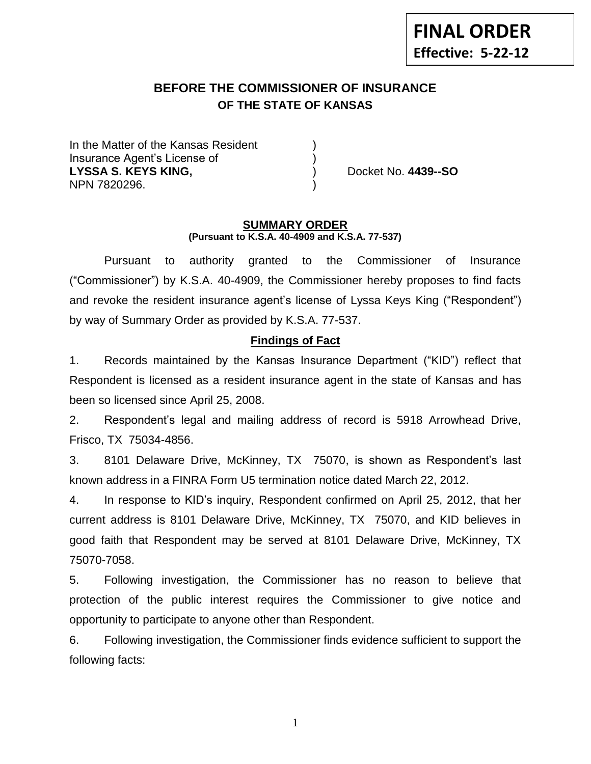# **BEFORE THE COMMISSIONER OF INSURANCE OF THE STATE OF KANSAS**

In the Matter of the Kansas Resident Insurance Agent's License of ) **LYSSA S. KEYS KING,** ) Docket No. **4439--SO** NPN 7820296. )

#### **SUMMARY ORDER (Pursuant to K.S.A. 40-4909 and K.S.A. 77-537)**

Pursuant to authority granted to the Commissioner of Insurance ("Commissioner") by K.S.A. 40-4909, the Commissioner hereby proposes to find facts and revoke the resident insurance agent's license of Lyssa Keys King ("Respondent") by way of Summary Order as provided by K.S.A. 77-537.

## **Findings of Fact**

1. Records maintained by the Kansas Insurance Department ("KID") reflect that Respondent is licensed as a resident insurance agent in the state of Kansas and has been so licensed since April 25, 2008.

2. Respondent's legal and mailing address of record is 5918 Arrowhead Drive, Frisco, TX 75034-4856.

3. 8101 Delaware Drive, McKinney, TX 75070, is shown as Respondent's last known address in a FINRA Form U5 termination notice dated March 22, 2012.

4. In response to KID's inquiry, Respondent confirmed on April 25, 2012, that her current address is 8101 Delaware Drive, McKinney, TX 75070, and KID believes in good faith that Respondent may be served at 8101 Delaware Drive, McKinney, TX 75070-7058.

5. Following investigation, the Commissioner has no reason to believe that protection of the public interest requires the Commissioner to give notice and opportunity to participate to anyone other than Respondent.

6. Following investigation, the Commissioner finds evidence sufficient to support the following facts:

1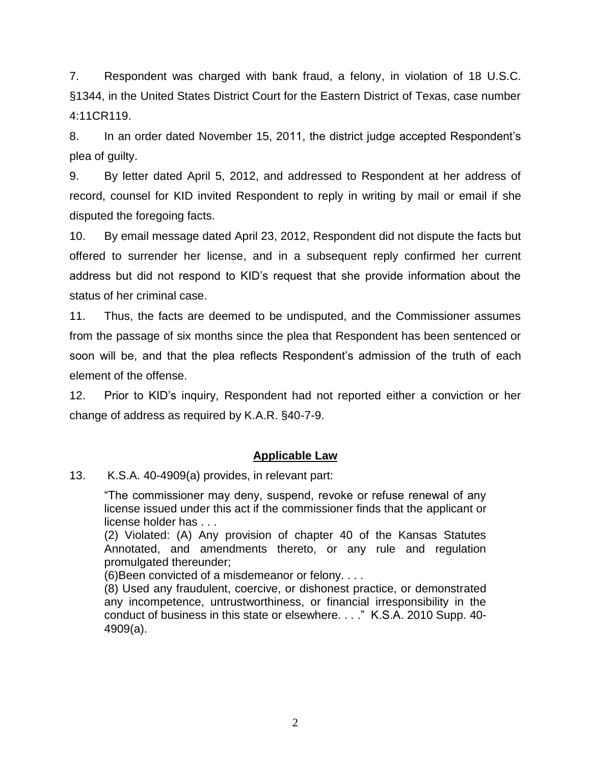7. Respondent was charged with bank fraud, a felony, in violation of 18 U.S.C. §1344, in the United States District Court for the Eastern District of Texas, case number 4:11CR119.

8. In an order dated November 15, 2011, the district judge accepted Respondent's plea of guilty.

9. By letter dated April 5, 2012, and addressed to Respondent at her address of record, counsel for KID invited Respondent to reply in writing by mail or email if she disputed the foregoing facts.

10. By email message dated April 23, 2012, Respondent did not dispute the facts but offered to surrender her license, and in a subsequent reply confirmed her current address but did not respond to KID's request that she provide information about the status of her criminal case.

11. Thus, the facts are deemed to be undisputed, and the Commissioner assumes from the passage of six months since the plea that Respondent has been sentenced or soon will be, and that the plea reflects Respondent's admission of the truth of each element of the offense.

12. Prior to KID's inquiry, Respondent had not reported either a conviction or her change of address as required by K.A.R. §40-7-9.

## **Applicable Law**

13. K.S.A. 40-4909(a) provides, in relevant part:

"The commissioner may deny, suspend, revoke or refuse renewal of any license issued under this act if the commissioner finds that the applicant or license holder has . . .

(2) Violated: (A) Any provision of chapter 40 of the Kansas Statutes Annotated, and amendments thereto, or any rule and regulation promulgated thereunder;

(6)Been convicted of a misdemeanor or felony. . . .

(8) Used any fraudulent, coercive, or dishonest practice, or demonstrated any incompetence, untrustworthiness, or financial irresponsibility in the conduct of business in this state or elsewhere. . . ." K.S.A. 2010 Supp. 40- 4909(a).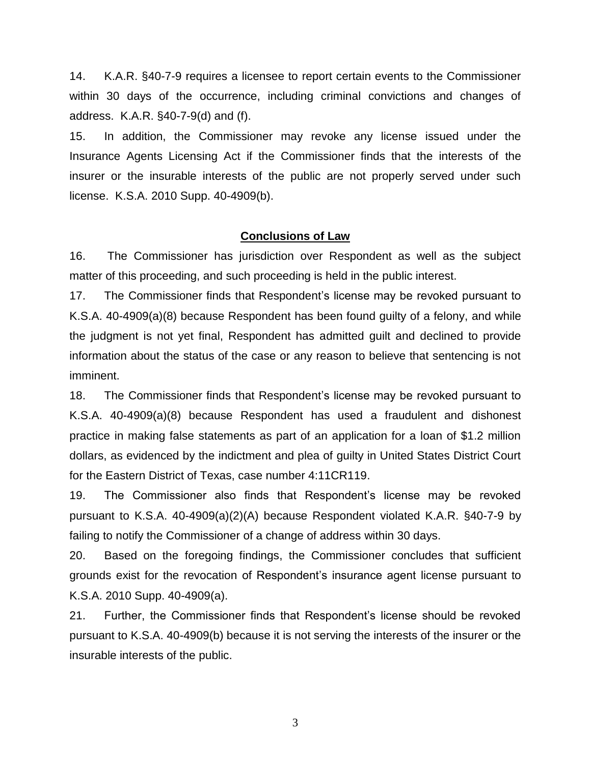14. K.A.R. §40-7-9 requires a licensee to report certain events to the Commissioner within 30 days of the occurrence, including criminal convictions and changes of address. K.A.R. §40-7-9(d) and (f).

15. In addition, the Commissioner may revoke any license issued under the Insurance Agents Licensing Act if the Commissioner finds that the interests of the insurer or the insurable interests of the public are not properly served under such license. K.S.A. 2010 Supp. 40-4909(b).

#### **Conclusions of Law**

16. The Commissioner has jurisdiction over Respondent as well as the subject matter of this proceeding, and such proceeding is held in the public interest.

17. The Commissioner finds that Respondent's license may be revoked pursuant to K.S.A. 40-4909(a)(8) because Respondent has been found guilty of a felony, and while the judgment is not yet final, Respondent has admitted guilt and declined to provide information about the status of the case or any reason to believe that sentencing is not imminent.

18. The Commissioner finds that Respondent's license may be revoked pursuant to K.S.A. 40-4909(a)(8) because Respondent has used a fraudulent and dishonest practice in making false statements as part of an application for a loan of \$1.2 million dollars, as evidenced by the indictment and plea of guilty in United States District Court for the Eastern District of Texas, case number 4:11CR119.

19. The Commissioner also finds that Respondent's license may be revoked pursuant to K.S.A. 40-4909(a)(2)(A) because Respondent violated K.A.R. §40-7-9 by failing to notify the Commissioner of a change of address within 30 days.

20. Based on the foregoing findings, the Commissioner concludes that sufficient grounds exist for the revocation of Respondent's insurance agent license pursuant to K.S.A. 2010 Supp. 40-4909(a).

21. Further, the Commissioner finds that Respondent's license should be revoked pursuant to K.S.A. 40-4909(b) because it is not serving the interests of the insurer or the insurable interests of the public.

3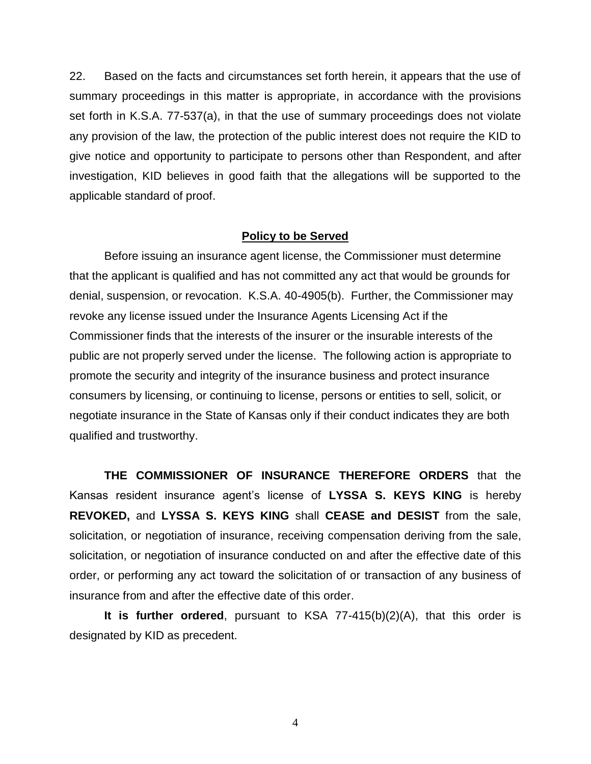22. Based on the facts and circumstances set forth herein, it appears that the use of summary proceedings in this matter is appropriate, in accordance with the provisions set forth in K.S.A. 77-537(a), in that the use of summary proceedings does not violate any provision of the law, the protection of the public interest does not require the KID to give notice and opportunity to participate to persons other than Respondent, and after investigation, KID believes in good faith that the allegations will be supported to the applicable standard of proof.

#### **Policy to be Served**

Before issuing an insurance agent license, the Commissioner must determine that the applicant is qualified and has not committed any act that would be grounds for denial, suspension, or revocation. K.S.A. 40-4905(b). Further, the Commissioner may revoke any license issued under the Insurance Agents Licensing Act if the Commissioner finds that the interests of the insurer or the insurable interests of the public are not properly served under the license. The following action is appropriate to promote the security and integrity of the insurance business and protect insurance consumers by licensing, or continuing to license, persons or entities to sell, solicit, or negotiate insurance in the State of Kansas only if their conduct indicates they are both qualified and trustworthy.

**THE COMMISSIONER OF INSURANCE THEREFORE ORDERS** that the Kansas resident insurance agent's license of **LYSSA S. KEYS KING** is hereby **REVOKED,** and **LYSSA S. KEYS KING** shall **CEASE and DESIST** from the sale, solicitation, or negotiation of insurance, receiving compensation deriving from the sale, solicitation, or negotiation of insurance conducted on and after the effective date of this order, or performing any act toward the solicitation of or transaction of any business of insurance from and after the effective date of this order.

**It is further ordered**, pursuant to KSA 77-415(b)(2)(A), that this order is designated by KID as precedent.

4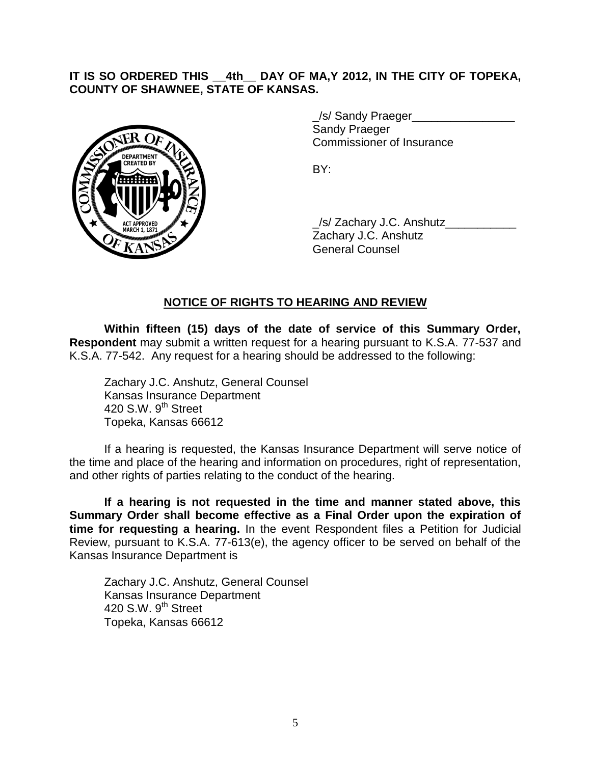## **IT IS SO ORDERED THIS \_\_4th\_\_ DAY OF MA,Y 2012, IN THE CITY OF TOPEKA, COUNTY OF SHAWNEE, STATE OF KANSAS.**



\_/s/ Sandy Praeger\_\_\_\_\_\_\_\_\_\_\_\_\_\_\_\_ Sandy Praeger Commissioner of Insurance

BY:

\_/s/ Zachary J.C. Anshutz\_\_\_\_\_\_\_\_\_\_\_ Zachary J.C. Anshutz General Counsel

### **NOTICE OF RIGHTS TO HEARING AND REVIEW**

**Within fifteen (15) days of the date of service of this Summary Order, Respondent** may submit a written request for a hearing pursuant to K.S.A. 77-537 and K.S.A. 77-542. Any request for a hearing should be addressed to the following:

Zachary J.C. Anshutz, General Counsel Kansas Insurance Department 420 S.W. 9<sup>th</sup> Street Topeka, Kansas 66612

If a hearing is requested, the Kansas Insurance Department will serve notice of the time and place of the hearing and information on procedures, right of representation, and other rights of parties relating to the conduct of the hearing.

**If a hearing is not requested in the time and manner stated above, this Summary Order shall become effective as a Final Order upon the expiration of time for requesting a hearing.** In the event Respondent files a Petition for Judicial Review, pursuant to K.S.A. 77-613(e), the agency officer to be served on behalf of the Kansas Insurance Department is

Zachary J.C. Anshutz, General Counsel Kansas Insurance Department 420 S.W.  $9^{th}$  Street Topeka, Kansas 66612